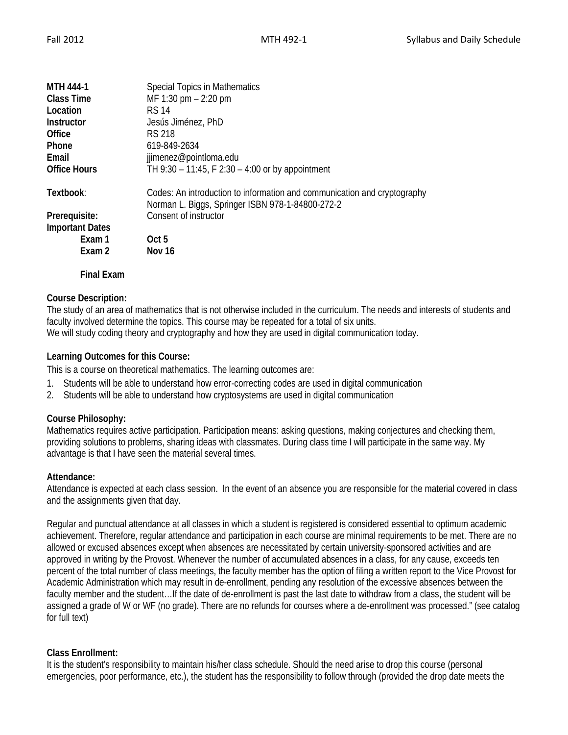| <b>MTH 444-1</b>       | <b>Special Topics in Mathematics</b>                                                                                         |
|------------------------|------------------------------------------------------------------------------------------------------------------------------|
| <b>Class Time</b>      | MF 1:30 pm - 2:20 pm                                                                                                         |
| Location               | RS 14                                                                                                                        |
| <b>Instructor</b>      | Jesús Jiménez, PhD                                                                                                           |
| Office                 | RS 218                                                                                                                       |
| Phone                  | 619-849-2634                                                                                                                 |
| Email                  | jjimenez@pointloma.edu                                                                                                       |
| <b>Office Hours</b>    | TH 9:30 - 11:45, F 2:30 - 4:00 or by appointment                                                                             |
| Textbook:              | Codes: An introduction to information and communication and cryptography<br>Norman L. Biggs, Springer ISBN 978-1-84800-272-2 |
| Prerequisite:          | Consent of instructor                                                                                                        |
| <b>Important Dates</b> |                                                                                                                              |
| Exam 1                 | Oct 5                                                                                                                        |
| Exam 2                 | Nov 16                                                                                                                       |
| <b>Final Exam</b>      |                                                                                                                              |

# **Course Description:**

The study of an area of mathematics that is not otherwise included in the curriculum. The needs and interests of students and faculty involved determine the topics. This course may be repeated for a total of six units. We will study coding theory and cryptography and how they are used in digital communication today.

# **Learning Outcomes for this Course:**

This is a course on theoretical mathematics. The learning outcomes are:

- 1. Students will be able to understand how error-correcting codes are used in digital communication
- 2. Students will be able to understand how cryptosystems are used in digital communication

### **Course Philosophy:**

Mathematics requires active participation. Participation means: asking questions, making conjectures and checking them, providing solutions to problems, sharing ideas with classmates. During class time I will participate in the same way. My advantage is that I have seen the material several times.

### **Attendance:**

Attendance is expected at each class session. In the event of an absence you are responsible for the material covered in class and the assignments given that day.

Regular and punctual attendance at all classes in which a student is registered is considered essential to optimum academic achievement. Therefore, regular attendance and participation in each course are minimal requirements to be met. There are no allowed or excused absences except when absences are necessitated by certain university-sponsored activities and are approved in writing by the Provost. Whenever the number of accumulated absences in a class, for any cause, exceeds ten percent of the total number of class meetings, the faculty member has the option of filing a written report to the Vice Provost for Academic Administration which may result in de-enrollment, pending any resolution of the excessive absences between the faculty member and the student…If the date of de-enrollment is past the last date to withdraw from a class, the student will be assigned a grade of W or WF (no grade). There are no refunds for courses where a de-enrollment was processed." (see catalog for full text)

# **Class Enrollment:**

It is the student's responsibility to maintain his/her class schedule. Should the need arise to drop this course (personal emergencies, poor performance, etc.), the student has the responsibility to follow through (provided the drop date meets the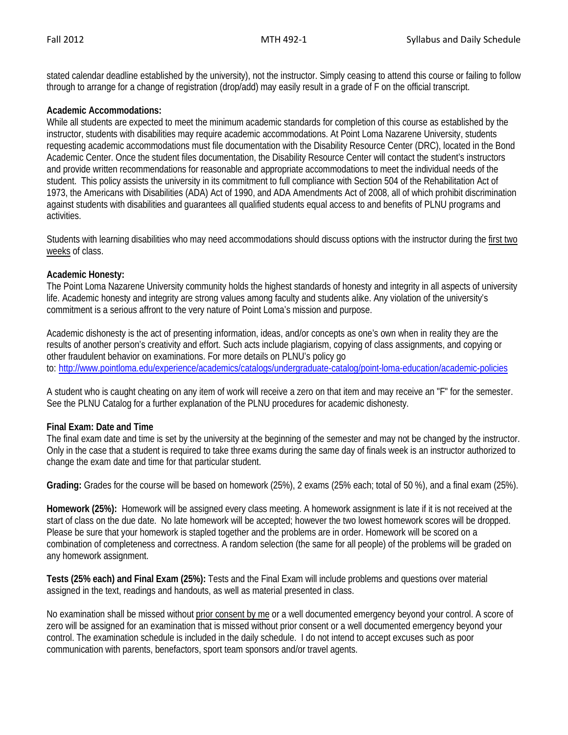stated calendar deadline established by the university), not the instructor. Simply ceasing to attend this course or failing to follow through to arrange for a change of registration (drop/add) may easily result in a grade of F on the official transcript.

### **Academic Accommodations:**

While all students are expected to meet the minimum academic standards for completion of this course as established by the instructor, students with disabilities may require academic accommodations. At Point Loma Nazarene University, students requesting academic accommodations must file documentation with the Disability Resource Center (DRC), located in the Bond Academic Center. Once the student files documentation, the Disability Resource Center will contact the student's instructors and provide written recommendations for reasonable and appropriate accommodations to meet the individual needs of the student. This policy assists the university in its commitment to full compliance with Section 504 of the Rehabilitation Act of 1973, the Americans with Disabilities (ADA) Act of 1990, and ADA Amendments Act of 2008, all of which prohibit discrimination against students with disabilities and guarantees all qualified students equal access to and benefits of PLNU programs and activities.

Students with learning disabilities who may need accommodations should discuss options with the instructor during the first two weeks of class.

### **Academic Honesty:**

The Point Loma Nazarene University community holds the highest standards of honesty and integrity in all aspects of university life. Academic honesty and integrity are strong values among faculty and students alike. Any violation of the university's commitment is a serious affront to the very nature of Point Loma's mission and purpose.

Academic dishonesty is the act of presenting information, ideas, and/or concepts as one's own when in reality they are the results of another person's creativity and effort. Such acts include plagiarism, copying of class assignments, and copying or other fraudulent behavior on examinations. For more details on PLNU's policy go to: <http://www.pointloma.edu/experience/academics/catalogs/undergraduate-catalog/point-loma-education/academic-policies>

A student who is caught cheating on any item of work will receive a zero on that item and may receive an "F" for the semester. See the PLNU Catalog for a further explanation of the PLNU procedures for academic dishonesty.

### **Final Exam: Date and Time**

The final exam date and time is set by the university at the beginning of the semester and may not be changed by the instructor. Only in the case that a student is required to take three exams during the same day of finals week is an instructor authorized to change the exam date and time for that particular student.

**Grading:** Grades for the course will be based on homework (25%), 2 exams (25% each; total of 50 %), and a final exam (25%).

**Homework (25%):** Homework will be assigned every class meeting. A homework assignment is late if it is not received at the start of class on the due date. No late homework will be accepted; however the two lowest homework scores will be dropped. Please be sure that your homework is stapled together and the problems are in order. Homework will be scored on a combination of completeness and correctness. A random selection (the same for all people) of the problems will be graded on any homework assignment.

**Tests (25% each) and Final Exam (25%):** Tests and the Final Exam will include problems and questions over material assigned in the text, readings and handouts, as well as material presented in class.

No examination shall be missed without prior consent by me or a well documented emergency beyond your control. A score of zero will be assigned for an examination that is missed without prior consent or a well documented emergency beyond your control. The examination schedule is included in the daily schedule. I do not intend to accept excuses such as poor communication with parents, benefactors, sport team sponsors and/or travel agents.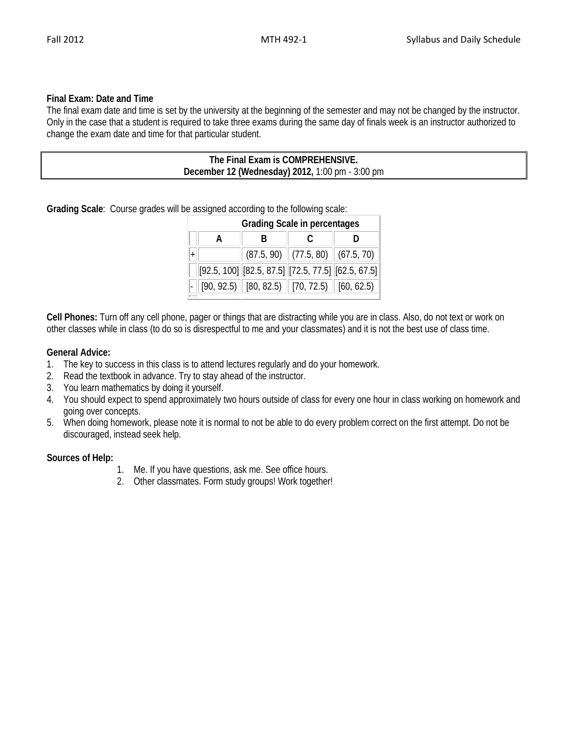## **Final Exam: Date and Time**

The final exam date and time is set by the university at the beginning of the semester and may not be changed by the instructor. Only in the case that a student is required to take three exams during the same day of finals week is an instructor authorized to change the exam date and time for that particular student.

| The Final Exam is COMPREHENSIVE.                |  |
|-------------------------------------------------|--|
| December 12 (Wednesday) 2012, 1:00 pm - 3:00 pm |  |
|                                                 |  |

**Grading Scale**: Course grades will be assigned according to the following scale:

| <b>Grading Scale in percentages</b> |  |  |                                                                             |  |  |  |  |  |
|-------------------------------------|--|--|-----------------------------------------------------------------------------|--|--|--|--|--|
|                                     |  |  |                                                                             |  |  |  |  |  |
|                                     |  |  | $(87.5, 90)$ $(77.5, 80)$ $(67.5, 70)$                                      |  |  |  |  |  |
|                                     |  |  | $[92.5, 100]$ $[82.5, 87.5]$ $[72.5, 77.5]$ $[62.5, 67.5]$                  |  |  |  |  |  |
|                                     |  |  | $\boxed{90, 92.5}$ $\boxed{80, 82.5}$ $\boxed{70, 72.5}$ $\boxed{60, 62.5}$ |  |  |  |  |  |

**Cell Phones:** Turn off any cell phone, pager or things that are distracting while you are in class. Also, do not text or work on other classes while in class (to do so is disrespectful to me and your classmates) and it is not the best use of class time.

### **General Advice:**

- 1. The key to success in this class is to attend lectures regularly and do your homework.
- 2. Read the textbook in advance. Try to stay ahead of the instructor.
- 3. You learn mathematics by doing it yourself.
- 4. You should expect to spend approximately two hours outside of class for every one hour in class working on homework and going over concepts.
- 5. When doing homework, please note it is normal to not be able to do every problem correct on the first attempt. Do not be discouraged, instead seek help.

### **Sources of Help:**

- 1. Me. If you have questions, ask me. See office hours.
- 2. Other classmates. Form study groups! Work together!